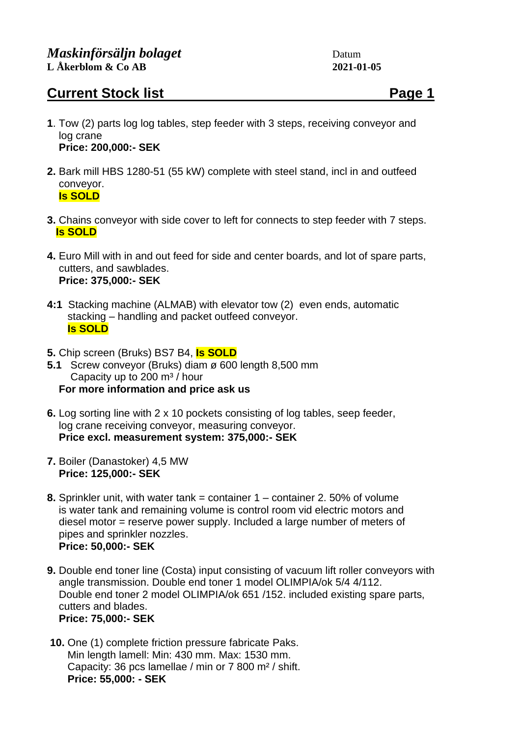## **Current Stock list Page 1**

- **1**. Tow (2) parts log log tables, step feeder with 3 steps, receiving conveyor and log crane  **Price: 200,000:- SEK**
- **2.** Bark mill HBS 1280-51 (55 kW) complete with steel stand, incl in and outfeed conveyor. **Is SOLD**
- **3.** Chains conveyor with side cover to left for connects to step feeder with 7 steps. **Is SOLD**
- **4.** Euro Mill with in and out feed for side and center boards, and lot of spare parts, cutters, and sawblades. **Price: 375,000:- SEK**
- **4:1** Stacking machine (ALMAB) with elevator tow (2) even ends, automatic stacking – handling and packet outfeed conveyor.  **Is SOLD**
- **5.** Chip screen (Bruks) BS7 B4, **Is SOLD**
- **5.1** Screw conveyor (Bruks) diam ø 600 length 8,500 mm Capacity up to 200  $\mathrm{m}^3$  / hour  **For more information and price ask us**
- **6.** Log sorting line with 2 x 10 pockets consisting of log tables, seep feeder, log crane receiving conveyor, measuring conveyor. **Price excl. measurement system: 375,000:- SEK**
- **7.** Boiler (Danastoker) 4,5 MW **Price: 125,000:- SEK**
- **8.** Sprinkler unit, with water tank = container 1 container 2. 50% of volume is water tank and remaining volume is control room vid electric motors and diesel motor = reserve power supply. Included a large number of meters of pipes and sprinkler nozzles. **Price: 50,000:- SEK**
- **9.** Double end toner line (Costa) input consisting of vacuum lift roller conveyors with angle transmission. Double end toner 1 model OLIMPIA/ok 5/4 4/112. Double end toner 2 model OLIMPIA/ok 651 /152. included existing spare parts, cutters and blades. **Price: 75,000:- SEK**
- **10.** One (1) complete friction pressure fabricate Paks. Min length lamell: Min: 430 mm. Max: 1530 mm. Capacity: 36 pcs lamellae / min or 7 800 m² / shift. **Price: 55,000: - SEK**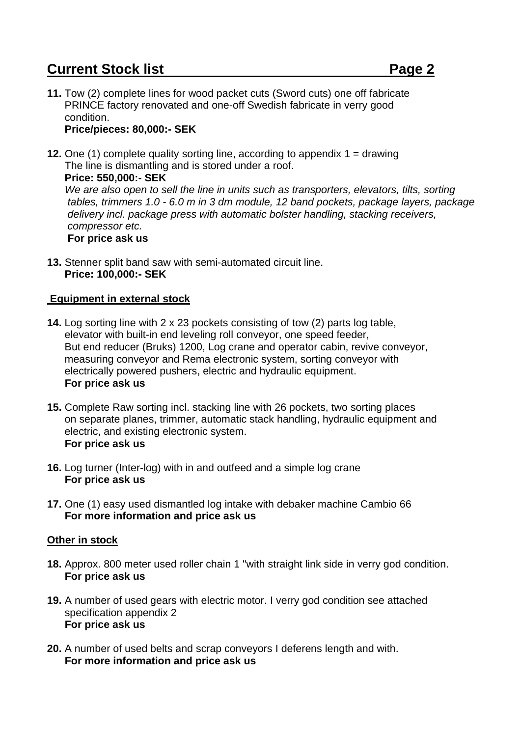# **Current Stock list Page 2**

**11.** Tow (2) complete lines for wood packet cuts (Sword cuts) one off fabricate PRINCE factory renovated and one-off Swedish fabricate in verry good condition. **Price/pieces: 80,000:- SEK**

#### **12.** One (1) complete quality sorting line, according to appendix 1 = drawing The line is dismantling and is stored under a roof. **Price: 550,000:- SEK** *We are also open to sell the line in units such as transporters, elevators, tilts, sorting tables, trimmers 1.0 - 6.0 m in 3 dm module, 12 band pockets, package layers, package delivery incl. package press with automatic bolster handling, stacking receivers, compressor etc.* **For price ask us**

**13.** Stenner split band saw with semi-automated circuit line.  **Price: 100,000:- SEK**

### **Equipment in external stock**

- **14.** Log sorting line with 2 x 23 pockets consisting of tow (2) parts log table, elevator with built-in end leveling roll conveyor, one speed feeder, But end reducer (Bruks) 1200, Log crane and operator cabin, revive conveyor, measuring conveyor and Rema electronic system, sorting conveyor with electrically powered pushers, electric and hydraulic equipment.  **For price ask us**
- **15.** Complete Raw sorting incl. stacking line with 26 pockets, two sorting places on separate planes, trimmer, automatic stack handling, hydraulic equipment and electric, and existing electronic system. **For price ask us**
- **16.** Log turner (Inter-log) with in and outfeed and a simple log crane **For price ask us**
- **17.** One (1) easy used dismantled log intake with debaker machine Cambio 66 **For more information and price ask us**

#### **Other in stock**

- **18.** Approx. 800 meter used roller chain 1 "with straight link side in verry god condition. **For price ask us**
- **19.** A number of used gears with electric motor. I verry god condition see attached specification appendix 2 **For price ask us**
- **20.** A number of used belts and scrap conveyors I deferens length and with. **For more information and price ask us**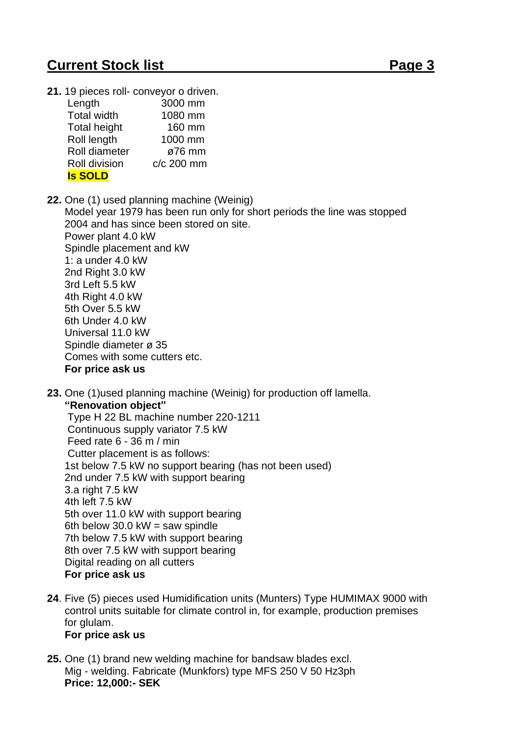# **Current Stock list Page 3**

**21.** 19 pieces roll- conveyor o driven.

| Length              | 3000 mm    |
|---------------------|------------|
| <b>Total width</b>  | 1080 mm    |
| <b>Total height</b> | 160 mm     |
| Roll length         | 1000 mm    |
| Roll diameter       | ø76 mm     |
| Roll division       | c/c 200 mm |
| <b>Is SOLD</b>      |            |

- **22.** One (1) used planning machine (Weinig) Model year 1979 has been run only for short periods the line was stopped 2004 and has since been stored on site. Power plant 4.0 kW Spindle placement and kW 1: a under 4.0 kW 2nd Right 3.0 kW 3rd Left 5.5 kW 4th Right 4.0 kW 5th Over 5.5 kW 6th Under 4.0 kW Universal 11.0 kW Spindle diameter ø 35 Comes with some cutters etc. **For price ask us**
- **23.** One (1)used planning machine (Weinig) for production off lamella.

 **"Renovation object"**

 Type H 22 BL machine number 220-1211 Continuous supply variator 7.5 kW Feed rate 6 - 36 m / min Cutter placement is as follows: 1st below 7.5 kW no support bearing (has not been used) 2nd under 7.5 kW with support bearing 3.a right 7.5 kW 4th left 7.5 kW 5th over 11.0 kW with support bearing 6th below  $30.0$  kW = saw spindle 7th below 7.5 kW with support bearing 8th over 7.5 kW with support bearing Digital reading on all cutters **For price ask us**

**24**. Five (5) pieces used Humidification units (Munters) Type HUMIMAX 9000 with control units suitable for climate control in, for example, production premises for glulam.

#### **For price ask us**

**25.** One (1) brand new welding machine for bandsaw blades excl. Mig - welding. Fabricate (Munkfors) type MFS 250 V 50 Hz3ph **Price: 12,000:- SEK**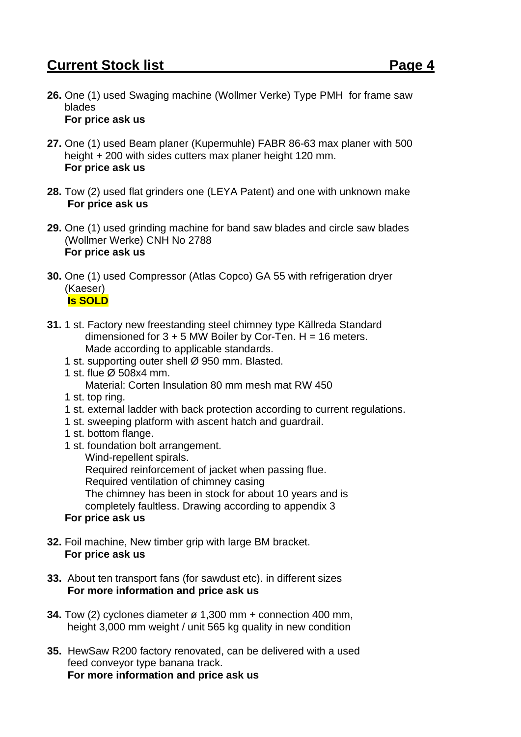**26.** One (1) used Swaging machine (Wollmer Verke) Type PMH for frame saw blades

#### **For price ask us**

- **27.** One (1) used Beam planer (Kupermuhle) FABR 86-63 max planer with 500 height + 200 with sides cutters max planer height 120 mm. **For price ask us**
- **28.** Tow (2) used flat grinders one (LEYA Patent) and one with unknown make **For price ask us**
- **29.** One (1) used grinding machine for band saw blades and circle saw blades (Wollmer Werke) CNH No 2788 **For price ask us**
- **30.** One (1) used Compressor (Atlas Copco) GA 55 with refrigeration dryer (Kaeser) **Is SOLD**
- **31.** 1 st. Factory new freestanding steel chimney type Källreda Standard dimensioned for  $3 + 5$  MW Boiler by Cor-Ten. H = 16 meters. Made according to applicable standards.
	- 1 st. supporting outer shell Ø 950 mm. Blasted.
	- 1 st. flue Ø 508x4 mm.
		- Material: Corten Insulation 80 mm mesh mat RW 450
	- 1 st. top ring.
	- 1 st. external ladder with back protection according to current regulations.
	- 1 st. sweeping platform with ascent hatch and guardrail.
	- 1 st. bottom flange.
	- 1 st. foundation bolt arrangement.

Wind-repellent spirals.

Required reinforcement of jacket when passing flue.

Required ventilation of chimney casing

The chimney has been in stock for about 10 years and is

completely faultless. Drawing according to appendix 3

### **For price ask us**

- **32.** Foil machine, New timber grip with large BM bracket. **For price ask us**
- **33.** About ten transport fans (for sawdust etc). in different sizes **For more information and price ask us**
- **34.** Tow (2) cyclones diameter ø 1,300 mm + connection 400 mm, height 3,000 mm weight / unit 565 kg quality in new condition
- **35.** HewSaw R200 factory renovated, can be delivered with a used feed conveyor type banana track. **For more information and price ask us**